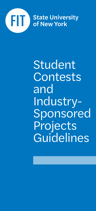

Student Contests and Industry-Sponsored Projects Guidelines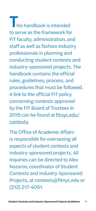his handbook is intended to serve as the framework for FIT faculty, administration, and staff as well as fashion industry professionals in planning and conducting student contests and industry-sponsored projects. The handbook contains the official rules, guidelines, process, and procedures that must be followed. A link to the official FIT policy concerning contests approved by the FIT Board of Trustees in 2015 can be found at fitnyc.edu/ contests.

The Office of Academic Affairs is responsible for overseeing all aspects of student contests and industry-sponsored projects. All inquiries can be directed to Alex Nazarov, coordinator of Student Contests and Industry-Sponsored Projects, at contests@fitnyc.edu or (212) 217-4051.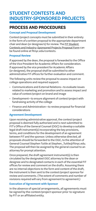# STUDENT CONTESTS AND INDUSTRY-SPONSORED PROJECTS

## **PROCESS AND PROCEDURES**

## **Concept and Proposal Development**

Contest/project concepts must be submitted in their entirety in the form of a written proposal to the appropriate department chair and dean (or designee/s) for review. The FIT Student Contests and Industry-Sponsored Projects Proposal Form can be found online at fitnyc.edu/contests.

## **Proposal Review**

If approved by the dean, the proposal is forwarded to the Office of the Vice President for Academic Affairs for consideration. If approved by the vice president for Academic Affairs (or designee), the proposal shall be submitted to other administrative FIT offices for further evaluation and comment.

The following units review the proposal to assess impact on college operations and required support:

- Communications and External Relations—to evaluate issues related to marketing and promotion and to assess impact and value of contest/project on brand and image
- Development—to ensure alignment of contest/project with fundraising activity of the college
- Finance and Administration—to review proposal for financial considerations

## **Agreement Development**

Upon receiving administrative approval, the contest/project proposal is deemed fully authorized and is next submitted to FIT's Office of the General Counsel (OGC) to develop a suitable legal draft instrument(s) incorporating the key provisions, terms, and conditions for the development of an agreement between FIT and the sponsor. Unless otherwise directed, all proposals should be forwarded to the OGC, to the attention of General Counsel Stephen Tuttle at Stephen\_Tuttle@fitnyc.edu. The proposal will then be assigned by the general counsel to an attorney for prompt attention.

Once prepared, the draft agreement instrument(s) is then circulated by the designated OGC attorney to the dean or designee and to designated contacts in each of the essential FIT offices for review and comment on the drafts. Assuming there are no internal objections to the form and content of the draft, the instrument is then sent to the contest/project sponsor for review and comments. (The extent of comments and number of revisions required will vary from agreement to agreement.)

## **Execution of Agreement with Sponsor**

In the absence of special arrangements, all agreements must be signed by the contest/project sponsor prior to signature by FIT or an affiliated entity.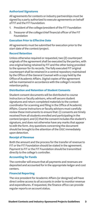#### **Authorized Signatures**

All agreements for contests or industry partnerships must be signed by a party authorized to execute agreements on behalf of FIT and the FIT Foundation:

- 1. President of the college/president of the FIT Foundation
- 2. Treasurer of the college/chief financial officer of the FIT Foundation

#### **Execution Prior to Effective Date**

All agreements must be submitted for execution prior to the start date of the contest/project.

#### **Record Retention**

Unless otherwise required or requested, two (2) counterpart originals of the agreement shall be executed by the parties, with one original being retained by FIT and the other being provided to the sponsor for its records. The fully executed FIT original counterpart shall be retained in a central repository maintained by the Office of the General Counsel with a copy held by the Office of Academic Affairs. Digital copies of the agreement will be maintained in accordance with the college's records retention policy.

#### **Distribution and Retention of Student Consents**

Student consent documents will be distributed to course instructors or faculty advisors, who will secure student signatures and return completed materials to the contest coordinator for scanning and filing in the Office of Academic Affairs. Course instructors or faculty advisors must carefully review these instruments to ensure that: (i) consents are timely received from all students enrolled and participating in the contest/project; and (ii) that the consent includes the student's signature, and does not otherwise have any marks that appear to edit the form. Any questions concerning the document should be brought to the attention of the OGC immediately upon detection.

#### **Receipt of Revenue**

Both the amount and the process for the transfer of revenue to FIT or the FIT Foundation should be stated in the agreement. Payment to FIT or the FIT Foundation should be transmitted directly to the college's controller.

#### **Accounting for Funds**

The controller will ensure that all payments and revenues are deposited and accounted for in the appropriate ledger and cost centers.

#### **Financial Reporting**

The vice president for Academic Affairs (or designee) will have direct online access to all accounts in order to monitor revenue and expenditures. If requested, the finance office can provide regular reports on account status.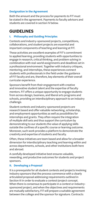#### **Designation in the Agreement**

Both the amount and the process for payments to FIT must be stated in the agreement. Payments to faculty advisors and students are covered in section IV below.

## **GUIDELINES**

## **I. Philosophy and Guiding Principles**

Contests and industry-sponsored projects, competitions, collaborations, and student projects are essential and important components of teaching and learning at FIT.

These activities are excellent examples of FIT's commitment to applied learning, providing students with opportunities to engage in research, critical thinking, and problem solving in combination with real-world assignments and deadlines set in a professional environment. Together with industry critiques, mentoring, and internships, these experiences connect students with professionals in the field under the guidance of FIT faculty and are, therefore, key elements of their overall curricular experience.

Sponsors benefit from their engagement with creative and innovative student talent and the expertise of faculty mentors. FIT offers a unique opportunity to engage students from across design, business, and liberal arts programs and schools, providing an interdisciplinary approach to an industry challenge.

Student contests and industry-sponsored projects are research based and offer valuable networking, scholarship, and employment opportunities as well as possibilities for internships and grants. They often require the integration of multiple skill sets and thus support the curriculum by demonstrating to our students the value of applying skills outside the confines of a specific course or learning outcome. Moreover, such work provides a platform to demonstrate the creativity and expertise of students and faculty.

Often, these initiatives are team based and allow for a broader dimension for interdisciplinary teaching and learning within and across departments, schools, and other institutions both here and abroad.

A carefully developed initiative best ensures valuable, rewarding, and productive outcomes for students and project sponsors.

## **II. Developing a Proposal**

It is a prerequisite for all student contests and projects involving industry sponsors that the process commence with a clearly articulated proposal addressing requirements outlined in Section III in order to evaluate a contest/project concept. When there is consensus to participate in a contest or industrysponsored project, and when the objectives and requirements are mutually satisfactory, FIT will prepare a suitable agreement between the college and the sponsor for signature. Contracts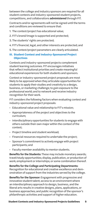between the college and industry sponsors are required for all student contests and industry-sponsored student projects, competitions, and collaborations administered through FIT.

Contracts and/or agreements will not be signed until the terms and conditions are reviewed to ensure that:

- 1. The contest/project has educational value;
- 2. FIT's brand/image is supported and protected;
- 3. The students' rights are protected;
- 4. FIT's financial, legal, and other interests are protected; and
- 5. The contest/project parameters are clearly articulated.

## **III. Student Contest and Industry-Sponsored Project Objectives**

Contests and industry-sponsored projects complement student learning outcomes. FIT encourages initiatives that reflect institutional priorities and create meaningful educational experiences for both students and sponsors.

Contest or industry-sponsored project proposals are most likely to be approved when they articulate opportunities for students to apply their studies and creativity to a design, business, or marketing challenge; to gain exposure to the professional world; and to network and receive industry recognition for their work.

FIT considers the following factors when evaluating contest and industry-sponsored project proposals:

- Educational value and relationship to FIT's mission;
- Appropriateness of the project and objectives to the curriculum;
- Interdisciplinary opportunities for students to engage with others outside their own major within the context of the contest;
- Project timeline and student workload;
- Financial resources required to undertake the project;
- Sponsor's commitment to actively engage with project participants; and
- Faculty member availability to mentor students.

Benefits for the Students: These may include monetary awards; travel/study opportunities; display, publication, or production of work; employment or internships; or some combination thereof.

Benefits for the College and Participating Departments: Recognition for educational and creative excellence and demonstration of support from the industries served by the college.

Benefits for the Sponsor: Engagement with progressive and innovative student talent; access to an environment where an interdisciplinary approach to design, business, and the liberal arts results in creative designs, plans, applications, or business approaches; and public recognition of the sponsor's philanthropic activities and support of higher education.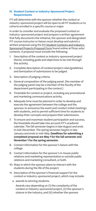#### **IV. Student Contest or Industry-Sponsored Project Requirements**

FIT will determine with the sponsor whether the contest or industry-sponsored project will be open to all FIT students or to cohorts enrolled in a specific course or major.

In order to consider and evaluate the proposed contest or industry-sponsored project and prepare a written agreement that fully documents the initiative, the sponsor and designated FIT course instructor or liaison must develop and submit a written proposal using the FIT Student Contests and Industry-Sponsored Projects Proposal Form found online at fitnyc.edu/ contests. A proposal must include the following:

- 1. Description of the contest or industry-sponsored project theme, including goals and objectives to be met through this activity.
- 2. Complete description of contest/project rules/guidelines and itemization of submissions to be judged.
- 3. Description of judging criteria.
- 4. General composition of the judging panel. (No member of the judging panel may be a member of the faculty of the department participating in the contest.)
- 5. Timetable for contest or project, including any promotional and marketing communications activity.
- 6. Adequate time must be planned in order to develop and execute the agreement between the college and the sponsor, to announce the event and conduct initial meetings with students, and to permit sufficient time for students to develop their concepts and prepare their submissions.
- 7. To ensure and maximize student participation and success, the timetable should take into account FIT's academic calendar. The fall semester begins in late August and ends in mid-December. The spring semester begins in late January and ends in mid-May. Deadlines for submitting a completed proposal are May 1 for the fall semester and November 1 for the spring semester.
- 8. Contact information for the sponsor's liaison with the college.
- 9. Contact information for the sponsor's in-house public relations and marketing representative or outside public relations and marketing consultant, or both.
- 10. Ways in which the sponsor plans to interact with the students during the life of the project.
- 11. Description of the sponsor's financial support for the contest or industry-sponsored project, which may include:
	- a. awards to winning students:

 Awards vary depending on (i) the complexity of the contest or industry-sponsored project, (ii) the sponsor's stature in the industry, and (iii) whether the sponsor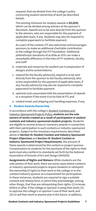requests that we deviate from the college's policy concerning student ownership of work (as described below).

 The existing minimum for student awards is \$5,000, which can be divided among winners at the sponsor's discretion. Awards are to be sent directly from the sponsor to the winners, who are responsible for the payment of applicable taxes, if any. Students may also be required to complete paperwork to facilitate payment.

 As a part of the contest, FIT also welcomes and encourages sponsors to make an additional charitable contribution to the college through the FIT Foundation. Additional philanthropic donations of as little as 10% can make a remarkable difference in the lives of FIT students, faculty, and staff.

- b. materials and resources for student use in preparation of designs and/or presentations;
- c. stipend for the faculty advisor(s); stipend is to be sent directly from the sponsor to the faculty advisor(s), who is/are responsible for the payment of applicable taxes, if any; faculty advisor(s) may also be required to complete paperwork to facilitate payment.
- d. optional costs associated with the presentation of awards or a reception if the event is to be held at FIT; and
- e. related travel, and shipping and handling expenses, if any.

#### **V. Student Awards/Ownership**

In accordance with the college's Student Contests and Industry-Sponsored Projects Policy, students are the sole owners of works created as a result of participation in student contests and industry-sponsored student projects. Students are eligible to receive prizes or monetary awards in connection with their participation in such contests or industry-sponsored projects. Subject to the monetary requirements described above in Section III: Student Contest and Industry-Sponsored Project Objectives and Section IV: Student Contest or Industry-Sponsored Project Requirements, the amount of these awards is determined by the contest or project sponsor. Compensation to students for the purchase of the rights to their work must also conform to standards set forth by the National Association of Schools of Art and Design (NASAD).

Assignments of Rights and Waivers: While students are the sole owners of their work, there are some cases where contests or industry-sponsored projects require students to relinquish the ownership of rights to their work to the college or to the contest/industry sponsor as a requirement for participation. In these instances, students are required to sign a suitable consent and release form, in which they acknowledge, among other things, that they are relinquishing their rights: (i) to know, before or after, if the college or sponsor is using their work; (ii) to approve the college's or sponsor's use of their work; and (iii) to sell their work to anyone else in the future. In addition,